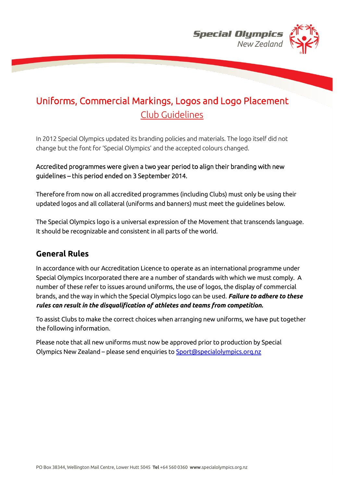

# Uniforms, Commercial Markings, Logos and Logo Placement Club Guidelines

In 2012 Special Olympics updated its branding policies and materials. The logo itself did not change but the font for 'Special Olympics' and the accepted colours changed.

## Accredited programmes were given a two year period to align their branding with new guidelines – this period ended on 3 September 2014.

Therefore from now on all accredited programmes (including Clubs) must only be using their updated logos and all collateral (uniforms and banners) must meet the guidelines below.

The Special Olympics logo is a universal expression of the Movement that transcends language. It should be recognizable and consistent in all parts of the world.

## **General Rules**

In accordance with our Accreditation Licence to operate as an international programme under Special Olympics Incorporated there are a number of standards with which we must comply. A number of these refer to issues around uniforms, the use of logos, the display of commercial brands, and the way in which the Special Olympics logo can be used. *Failure to adhere to these rules can result in the disqualification of athletes and teams from competition.* 

To assist Clubs to make the correct choices when arranging new uniforms, we have put together the following information.

Please note that all new uniforms must now be approved prior to production by Special Olympics New Zealand – please send enquiries t[o Sport@specialolympics.org.nz](mailto:Sport@specialolympics.org.nz)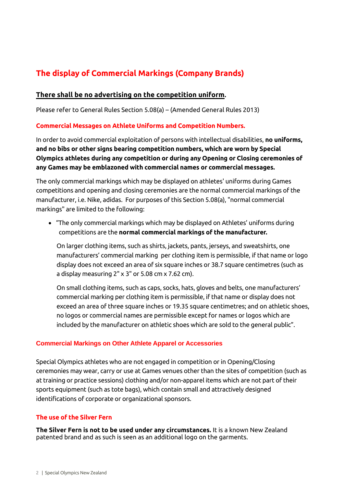## **The display of Commercial Markings (Company Brands)**

## **There shall be no advertising on the competition uniform.**

Please refer to General Rules Section 5.08(a) – (Amended General Rules 2013)

## **Commercial Messages on Athlete Uniforms and Competition Numbers.**

In order to avoid commercial exploitation of persons with intellectual disabilities, **no uniforms, and no bibs or other signs bearing competition numbers, which are worn by Special Olympics athletes during any competition or during any Opening or Closing ceremonies of any Games may be emblazoned with commercial names or commercial messages.** 

The only commercial markings which may be displayed on athletes' uniforms during Games competitions and opening and closing ceremonies are the normal commercial markings of the manufacturer, i.e. Nike, adidas. For purposes of this Section 5.08(a), "normal commercial markings" are limited to the following:

• "The only commercial markings which may be displayed on Athletes' uniforms during competitions are the **normal commercial markings of the manufacturer.**

On larger clothing items, such as shirts, jackets, pants, jerseys, and sweatshirts, one manufacturers' commercial marking per clothing item is permissible, if that name or logo display does not exceed an area of six square inches or 38.7 square centimetres (such as a display measuring  $2" \times 3"$  or 5.08 cm  $\times$  7.62 cm).

On small clothing items, such as caps, socks, hats, gloves and belts, one manufacturers' commercial marking per clothing item is permissible, if that name or display does not exceed an area of three square inches or 19.35 square centimetres; and on athletic shoes, no logos or commercial names are permissible except for names or logos which are included by the manufacturer on athletic shoes which are sold to the general public".

#### **Commercial Markings on Other Athlete Apparel or Accessories**

Special Olympics athletes who are not engaged in competition or in Opening/Closing ceremonies may wear, carry or use at Games venues other than the sites of competition (such as at training or practice sessions) clothing and/or non-apparel items which are not part of their sports equipment (such as tote bags), which contain small and attractively designed identifications of corporate or organizational sponsors.

## **The use of the Silver Fern**

**The Silver Fern is not to be used under any circumstances.** It is a known New Zealand patented brand and as such is seen as an additional logo on the garments.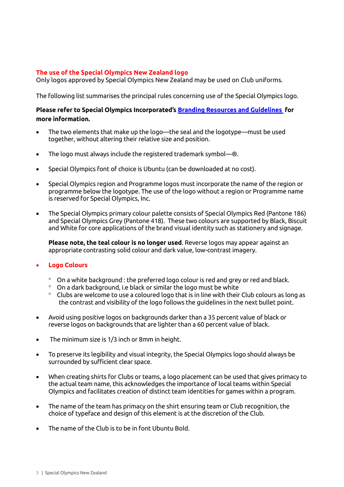#### **The use of the Special Olympics New Zealand logo**

Only logos approved by Special Olympics New Zealand may be used on Club uniforms.

The following list summarises the principal rules concerning use of the Special Olympics logo.

## **Please refer to Special Olympics Incorporated's [Branding Resources and Guidelines](http://resources.specialolympics.org/brand.aspx) for more information.**

- The two elements that make up the logo—the seal and the logotype—must be used together, without altering their relative size and position.
- The logo must always include the registered trademark symbol—®.
- Special Olympics font of choice is Ubuntu (can be downloaded at no cost).
- Special Olympics region and Programme logos must incorporate the name of the region or programme below the logotype. The use of the logo without a region or Programme name is reserved for Special Olympics, Inc.
- The Special Olympics primary colour palette consists of Special Olympics Red (Pantone 186) and Special Olympics Grey (Pantone 418). These two colours are supported by Black, Biscuit and White for core applications of the brand visual identity such as stationery and signage.

**Please note, the teal colour is no longer used**. Reverse logos may appear against an appropriate contrasting solid colour and dark value, low-contrast imagery.

#### • **Logo Colours**

- $\degree$  On a white background : the preferred logo colour is red and grey or red and black.
- $^{\circ}$  On a dark background, i.e black or similar the logo must be white
- $\degree$  Clubs are welcome to use a coloured logo that is in line with their Club colours as long as the contrast and visibility of the logo follows the guidelines in the next bullet point.
- Avoid using positive logos on backgrounds darker than a 35 percent value of black or reverse logos on backgrounds that are lighter than a 60 percent value of black.
- The minimum size is 1/3 inch or 8mm in height.
- To preserve its legibility and visual integrity, the Special Olympics logo should always be surrounded by sufficient clear space.
- When creating shirts for Clubs or teams, a logo placement can be used that gives primacy to the actual team name, this acknowledges the importance of local teams within Special Olympics and facilitates creation of distinct team identities for games within a program.
- The name of the team has primacy on the shirt ensuring team or Club recognition, the choice of typeface and design of this element is at the discretion of the Club.
- The name of the Club is to be in font Ubuntu Bold.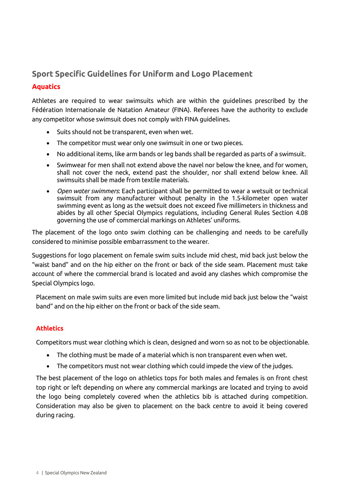## **Sport Specific Guidelines for Uniform and Logo Placement Aquatics**

Athletes are required to wear swimsuits which are within the guidelines prescribed by the Fédération Internationale de Natation Amateur (FINA). Referees have the authority to exclude any competitor whose swimsuit does not comply with FINA guidelines.

- Suits should not be transparent, even when wet.
- The competitor must wear only one swimsuit in one or two pieces.
- No additional items, like arm bands or leg bands shall be regarded as parts of a swimsuit.
- Swimwear for men shall not extend above the navel nor below the knee, and for women, shall not cover the neck, extend past the shoulder, nor shall extend below knee. All swimsuits shall be made from textile materials.
- *Open water swimmers*: Each participant shall be permitted to wear a wetsuit or technical swimsuit from any manufacturer without penalty in the 1.5-kilometer open water swimming event as long as the wetsuit does not exceed five millimeters in thickness and abides by all other Special Olympics regulations, including General Rules Section 4.08 governing the use of commercial markings on Athletes' uniforms.

The placement of the logo onto swim clothing can be challenging and needs to be carefully considered to minimise possible embarrassment to the wearer.

Suggestions for logo placement on female swim suits include mid chest, mid back just below the "waist band" and on the hip either on the front or back of the side seam. Placement must take account of where the commercial brand is located and avoid any clashes which compromise the Special Olympics logo.

Placement on male swim suits are even more limited but include mid back just below the "waist band" and on the hip either on the front or back of the side seam.

## **Athletics**

Competitors must wear clothing which is clean, designed and worn so as not to be objectionable.

- The clothing must be made of a material which is non transparent even when wet.
- The competitors must not wear clothing which could impede the view of the judges.

The best placement of the logo on athletics tops for both males and females is on front chest top right or left depending on where any commercial markings are located and trying to avoid the logo being completely covered when the athletics bib is attached during competition. Consideration may also be given to placement on the back centre to avoid it being covered during racing.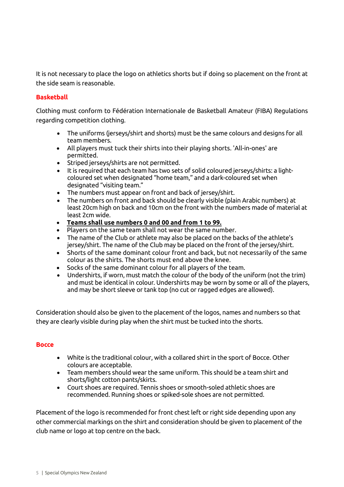It is not necessary to place the logo on athletics shorts but if doing so placement on the front at the side seam is reasonable.

## **Basketball**

Clothing must conform to Fédération Internationale de Basketball Amateur (FIBA) Regulations regarding competition clothing.

- The uniforms (jerseys/shirt and shorts) must be the same colours and designs for all team members.
- All players must tuck their shirts into their playing shorts. 'All-in-ones' are permitted.
- Striped jerseys/shirts are not permitted.
- It is required that each team has two sets of solid coloured jerseys/shirts: a lightcoloured set when designated "home team," and a dark-coloured set when designated "visiting team."
- The numbers must appear on front and back of jersey/shirt.
- The numbers on front and back should be clearly visible (plain Arabic numbers) at least 20cm high on back and 10cm on the front with the numbers made of material at least 2cm wide.
- **Teams shall use numbers 0 and 00 and from 1 to 99.**
- Players on the same team shall not wear the same number.
- The name of the Club or athlete may also be placed on the backs of the athlete's jersey/shirt. The name of the Club may be placed on the front of the jersey/shirt.
- Shorts of the same dominant colour front and back, but not necessarily of the same colour as the shirts. The shorts must end above the knee.
- Socks of the same dominant colour for all players of the team.
- Undershirts, if worn, must match the colour of the body of the uniform (not the trim) and must be identical in colour. Undershirts may be worn by some or all of the players, and may be short sleeve or tank top (no cut or ragged edges are allowed).

Consideration should also be given to the placement of the logos, names and numbers so that they are clearly visible during play when the shirt must be tucked into the shorts.

#### **Bocce**

- White is the traditional colour, with a collared shirt in the sport of Bocce. Other colours are acceptable.
- Team members should wear the same uniform. This should be a team shirt and shorts/light cotton pants/skirts.
- Court shoes are required. Tennis shoes or smooth-soled athletic shoes are recommended. Running shoes or spiked-sole shoes are not permitted.

Placement of the logo is recommended for front chest left or right side depending upon any other commercial markings on the shirt and consideration should be given to placement of the club name or logo at top centre on the back.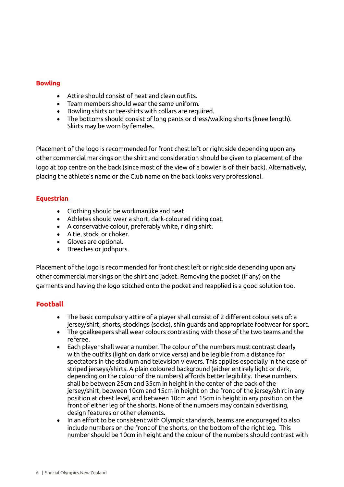### **Bowling**

- Attire should consist of neat and clean outfits.
- Team members should wear the same uniform.
- Bowling shirts or tee-shirts with collars are required.
- The bottoms should consist of long pants or dress/walking shorts (knee length). Skirts may be worn by females.

Placement of the logo is recommended for front chest left or right side depending upon any other commercial markings on the shirt and consideration should be given to placement of the logo at top centre on the back (since most of the view of a bowler is of their back). Alternatively, placing the athlete's name or the Club name on the back looks very professional.

## **Equestrian**

- Clothing should be workmanlike and neat.
- Athletes should wear a short, dark-coloured riding coat.
- A conservative colour, preferably white, riding shirt.
- A tie, stock, or choker.
- Gloves are optional.
- Breeches or jodhpurs.

Placement of the logo is recommended for front chest left or right side depending upon any other commercial markings on the shirt and jacket. Removing the pocket (if any) on the garments and having the logo stitched onto the pocket and reapplied is a good solution too.

## **Football**

- The basic compulsory attire of a player shall consist of 2 different colour sets of: a jersey/shirt, shorts, stockings (socks), shin guards and appropriate footwear for sport.
- The goalkeepers shall wear colours contrasting with those of the two teams and the referee.
- Each player shall wear a number. The colour of the numbers must contrast clearly with the outfits (light on dark or vice versa) and be legible from a distance for spectators in the stadium and television viewers. This applies especially in the case of striped jerseys/shirts. A plain coloured background (either entirely light or dark, depending on the colour of the numbers) affords better legibility. These numbers shall be between 25cm and 35cm in height in the center of the back of the jersey/shirt, between 10cm and 15cm in height on the front of the jersey/shirt in any position at chest level, and between 10cm and 15cm in height in any position on the front of either leg of the shorts. None of the numbers may contain advertising, design features or other elements.
- In an effort to be consistent with Olympic standards, teams are encouraged to also include numbers on the front of the shorts, on the bottom of the right leg. This number should be 10cm in height and the colour of the numbers should contrast with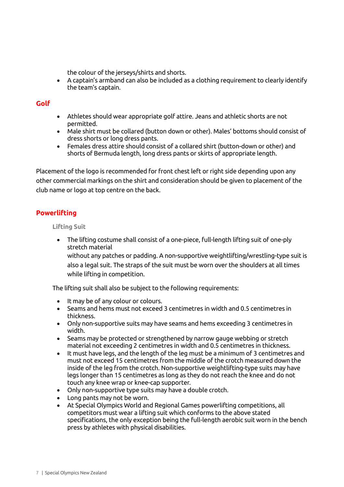the colour of the jerseys/shirts and shorts.

• A captain's armband can also be included as a clothing requirement to clearly identify the team's captain.

## **Golf**

- Athletes should wear appropriate golf attire. Jeans and athletic shorts are not permitted.
- Male shirt must be collared (button down or other). Males' bottoms should consist of dress shorts or long dress pants.
- Females dress attire should consist of a collared shirt (button-down or other) and shorts of Bermuda length, long dress pants or skirts of appropriate length.

Placement of the logo is recommended for front chest left or right side depending upon any other commercial markings on the shirt and consideration should be given to placement of the club name or logo at top centre on the back.

## **Powerlifting**

**Lifting Suit**

• The lifting costume shall consist of a one-piece, full-length lifting suit of one-ply stretch material

without any patches or padding. A non-supportive weightlifting/wrestling-type suit is also a legal suit. The straps of the suit must be worn over the shoulders at all times while lifting in competition.

The lifting suit shall also be subject to the following requirements:

- It may be of any colour or colours.
- Seams and hems must not exceed 3 centimetres in width and 0.5 centimetres in thickness.
- Only non-supportive suits may have seams and hems exceeding 3 centimetres in width.
- Seams may be protected or strengthened by narrow gauge webbing or stretch material not exceeding 2 centimetres in width and 0.5 centimetres in thickness.
- It must have legs, and the length of the leg must be a minimum of 3 centimetres and must not exceed 15 centimetres from the middle of the crotch measured down the inside of the leg from the crotch. Non-supportive weightlifting-type suits may have legs longer than 15 centimetres as long as they do not reach the knee and do not touch any knee wrap or knee-cap supporter.
- Only non-supportive type suits may have a double crotch.
- Long pants may not be worn.
- At Special Olympics World and Regional Games powerlifting competitions, all competitors must wear a lifting suit which conforms to the above stated specifications, the only exception being the full-length aerobic suit worn in the bench press by athletes with physical disabilities.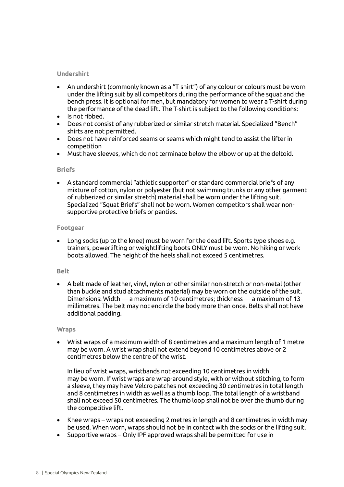#### **Undershirt**

- An undershirt (commonly known as a "T-shirt") of any colour or colours must be worn under the lifting suit by all competitors during the performance of the squat and the bench press. It is optional for men, but mandatory for women to wear a T-shirt during the performance of the dead lift. The T-shirt is subject to the following conditions:
- Is not ribbed.
- Does not consist of any rubberized or similar stretch material. Specialized "Bench" shirts are not permitted.
- Does not have reinforced seams or seams which might tend to assist the lifter in competition
- Must have sleeves, which do not terminate below the elbow or up at the deltoid.

#### **Briefs**

• A standard commercial "athletic supporter" or standard commercial briefs of any mixture of cotton, nylon or polyester (but not swimming trunks or any other garment of rubberized or similar stretch) material shall be worn under the lifting suit. Specialized "Squat Briefs" shall not be worn. Women competitors shall wear nonsupportive protective briefs or panties.

#### **Footgear**

• Long socks (up to the knee) must be worn for the dead lift. Sports type shoes e.g. trainers, powerlifting or weightlifting boots ONLY must be worn. No hiking or work boots allowed. The height of the heels shall not exceed 5 centimetres.

#### **Belt**

• A belt made of leather, vinyl, nylon or other similar non-stretch or non-metal (other than buckle and stud attachments material) may be worn on the outside of the suit. Dimensions: Width — a maximum of 10 centimetres; thickness — a maximum of 13 millimetres. The belt may not encircle the body more than once. Belts shall not have additional padding.

#### **Wraps**

• Wrist wraps of a maximum width of 8 centimetres and a maximum length of 1 metre may be worn. A wrist wrap shall not extend beyond 10 centimetres above or 2 centimetres below the centre of the wrist.

In lieu of wrist wraps, wristbands not exceeding 10 centimetres in width may be worn. If wrist wraps are wrap-around style, with or without stitching, to form a sleeve, they may have Velcro patches not exceeding 30 centimetres in total length and 8 centimetres in width as well as a thumb loop. The total length of a wristband shall not exceed 50 centimetres. The thumb loop shall not be over the thumb during the competitive lift.

- Knee wraps wraps not exceeding 2 metres in length and 8 centimetres in width may be used. When worn, wraps should not be in contact with the socks or the lifting suit.
- Supportive wraps Only IPF approved wraps shall be permitted for use in